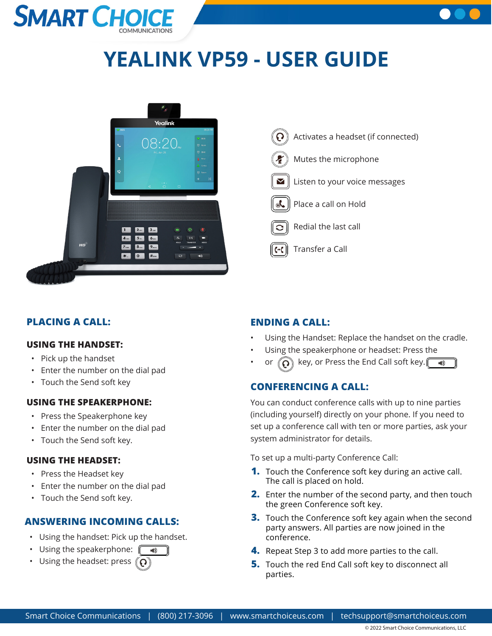# **SMART CHO**



# **YEALINK VP59 - USER GUIDE**





# **PLACING A CALL:**

#### **USING THE HANDSET:**

- Pick up the handset
- Enter the number on the dial pad
- Touch the Send soft key

#### **USING THE SPEAKERPHONE:**

- Press the Speakerphone key
- Enter the number on the dial pad
- Touch the Send soft key.

#### **USING THE HEADSET:**

- Press the Headset key
- Enter the number on the dial pad
- Touch the Send soft key.

### **ANSWERING INCOMING CALLS:**

- Using the handset: Pick up the handset.
- Using the speakerphone:  $\sqrt{\frac{4}{10}}$
- Using the headset: press  $\mathcal{O}$

# **ENDING A CALL:**

- Using the Handset: Replace the handset on the cradle.
- Using the speakerphone or headset: Press the
- or  $\left(\bigcap_{k=1}^{\infty}\right)$  key, or Press the End Call soft key.

# **CONFERENCING A CALL:**

You can conduct conference calls with up to nine parties (including yourself) directly on your phone. If you need to set up a conference call with ten or more parties, ask your system administrator for details.

To set up a multi-party Conference Call:

- **1.** Touch the Conference soft key during an active call. The call is placed on hold.
- **2.** Enter the number of the second party, and then touch the green Conference soft key.
- **3.** Touch the Conference soft key again when the second party answers. All parties are now joined in the conference.
- **4.** Repeat Step 3 to add more parties to the call.
- **5.** Touch the red End Call soft key to disconnect all parties.